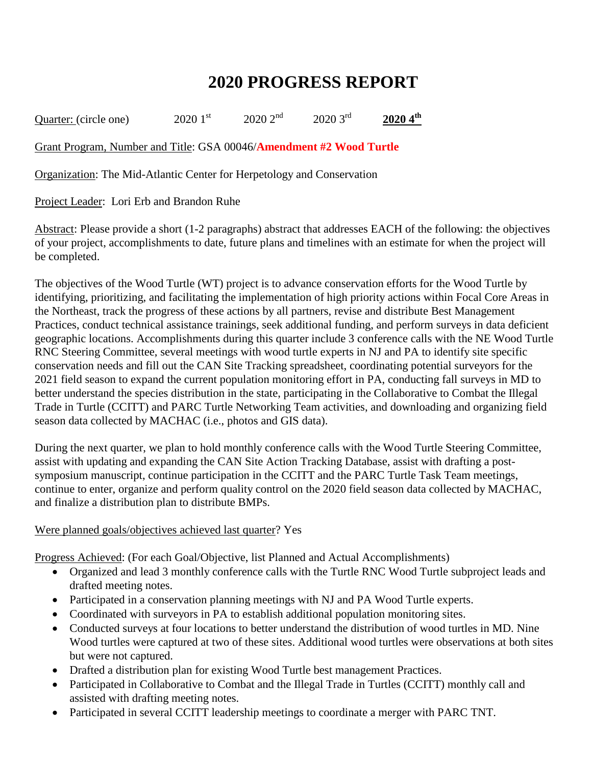## **2020 PROGRESS REPORT**

Quarter: (circle one) 2020 1<sup>st</sup> 2020 2<sup>nd</sup> 2020 3<sup>rd</sup> 2020 4<sup>th</sup>

Grant Program, Number and Title: GSA 00046/**Amendment #2 Wood Turtle**

Organization: The Mid-Atlantic Center for Herpetology and Conservation

Project Leader: Lori Erb and Brandon Ruhe

Abstract: Please provide a short (1-2 paragraphs) abstract that addresses EACH of the following: the objectives of your project, accomplishments to date, future plans and timelines with an estimate for when the project will be completed.

The objectives of the Wood Turtle (WT) project is to advance conservation efforts for the Wood Turtle by identifying, prioritizing, and facilitating the implementation of high priority actions within Focal Core Areas in the Northeast, track the progress of these actions by all partners, revise and distribute Best Management Practices, conduct technical assistance trainings, seek additional funding, and perform surveys in data deficient geographic locations. Accomplishments during this quarter include 3 conference calls with the NE Wood Turtle RNC Steering Committee, several meetings with wood turtle experts in NJ and PA to identify site specific conservation needs and fill out the CAN Site Tracking spreadsheet, coordinating potential surveyors for the 2021 field season to expand the current population monitoring effort in PA, conducting fall surveys in MD to better understand the species distribution in the state, participating in the Collaborative to Combat the Illegal Trade in Turtle (CCITT) and PARC Turtle Networking Team activities, and downloading and organizing field season data collected by MACHAC (i.e., photos and GIS data).

During the next quarter, we plan to hold monthly conference calls with the Wood Turtle Steering Committee, assist with updating and expanding the CAN Site Action Tracking Database, assist with drafting a postsymposium manuscript, continue participation in the CCITT and the PARC Turtle Task Team meetings, continue to enter, organize and perform quality control on the 2020 field season data collected by MACHAC, and finalize a distribution plan to distribute BMPs.

## Were planned goals/objectives achieved last quarter? Yes

Progress Achieved: (For each Goal/Objective, list Planned and Actual Accomplishments)

- Organized and lead 3 monthly conference calls with the Turtle RNC Wood Turtle subproject leads and drafted meeting notes.
- Participated in a conservation planning meetings with NJ and PA Wood Turtle experts.
- Coordinated with surveyors in PA to establish additional population monitoring sites.
- Conducted surveys at four locations to better understand the distribution of wood turtles in MD. Nine Wood turtles were captured at two of these sites. Additional wood turtles were observations at both sites but were not captured.
- Drafted a distribution plan for existing Wood Turtle best management Practices.
- Participated in Collaborative to Combat and the Illegal Trade in Turtles (CCITT) monthly call and assisted with drafting meeting notes.
- Participated in several CCITT leadership meetings to coordinate a merger with PARC TNT.